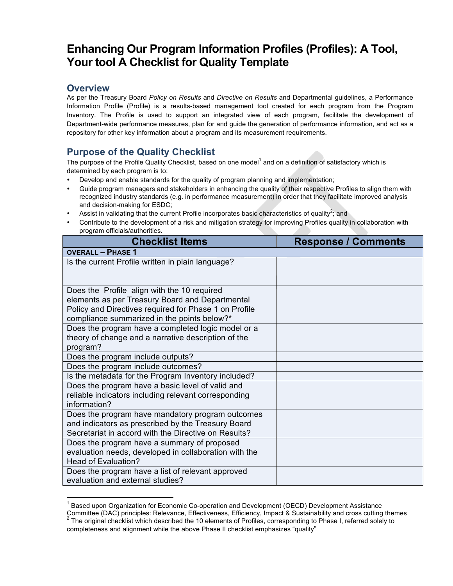## **Enhancing Our Program Information Profiles (Profiles): A Tool, Your tool A Checklist for Quality Template**

## **Overview**

As per the Treasury Board *Policy on Results* and *Directive on Results* and Departmental guidelines, a Performance Information Profile (Profile) is a results-based management tool created for each program from the Program Inventory. The Profile is used to support an integrated view of each program, facilitate the development of Department-wide performance measures, plan for and guide the generation of performance information, and act as a repository for other key information about a program and its measurement requirements.

## **Purpose of the Quality Checklist**

The purpose of the Profile Quality Checklist, based on one model<sup>1</sup> and on a definition of satisfactory which is determined by each program is to:

- Develop and enable standards for the quality of program planning and implementation;
- Guide program managers and stakeholders in enhancing the quality of their respective Profiles to align them with recognized industry standards (e.g. in performance measurement) in order that they facilitate improved analysis and decision-making for ESDC;
- Assist in validating that the current Profile incorporates basic characteristics of quality<sup>2</sup>; and
- Contribute to the development of a risk and mitigation strategy for improving Profiles quality in collaboration with program officials/authorities.

| <b>Checklist Items</b>                                                                                                                                                                                 | <b>Response / Comments</b> |
|--------------------------------------------------------------------------------------------------------------------------------------------------------------------------------------------------------|----------------------------|
| <b>OVERALL - PHASE 1</b>                                                                                                                                                                               |                            |
| Is the current Profile written in plain language?                                                                                                                                                      |                            |
| Does the Profile align with the 10 required<br>elements as per Treasury Board and Departmental<br>Policy and Directives required for Phase 1 on Profile<br>compliance summarized in the points below?* |                            |
| Does the program have a completed logic model or a<br>theory of change and a narrative description of the<br>program?                                                                                  |                            |
| Does the program include outputs?                                                                                                                                                                      |                            |
| Does the program include outcomes?                                                                                                                                                                     |                            |
| Is the metadata for the Program Inventory included?                                                                                                                                                    |                            |
| Does the program have a basic level of valid and<br>reliable indicators including relevant corresponding<br>information?                                                                               |                            |
| Does the program have mandatory program outcomes<br>and indicators as prescribed by the Treasury Board<br>Secretariat in accord with the Directive on Results?                                         |                            |
| Does the program have a summary of proposed<br>evaluation needs, developed in collaboration with the<br><b>Head of Evaluation?</b>                                                                     |                            |
| Does the program have a list of relevant approved<br>evaluation and external studies?                                                                                                                  |                            |

 <sup>1</sup> Based upon Organization for Economic Co-operation and Development (OECD) Development Assistance Committee (DAC) principles: Relevance, Effectiveness, Efficiency, Impact & Sustainability and cross cutting themes  $2$  The original checklist which described the 10 elements of Profiles, corresponding to Phase I, referred solely to completeness and alignment while the above Phase II checklist emphasizes "quality"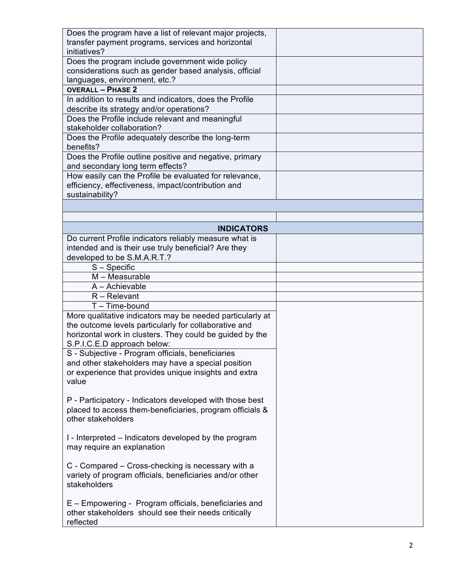| Does the program have a list of relevant major projects,<br>transfer payment programs, services and horizontal<br>initiatives? |  |
|--------------------------------------------------------------------------------------------------------------------------------|--|
| Does the program include government wide policy                                                                                |  |
| considerations such as gender based analysis, official                                                                         |  |
| languages, environment, etc.?                                                                                                  |  |
| <b>OVERALL - PHASE 2</b>                                                                                                       |  |
| In addition to results and indicators, does the Profile                                                                        |  |
| describe its strategy and/or operations?                                                                                       |  |
| Does the Profile include relevant and meaningful                                                                               |  |
| stakeholder collaboration?                                                                                                     |  |
| Does the Profile adequately describe the long-term                                                                             |  |
| benefits?                                                                                                                      |  |
| Does the Profile outline positive and negative, primary                                                                        |  |
| and secondary long term effects?                                                                                               |  |
| How easily can the Profile be evaluated for relevance,                                                                         |  |
| efficiency, effectiveness, impact/contribution and                                                                             |  |
| sustainability?                                                                                                                |  |
|                                                                                                                                |  |
|                                                                                                                                |  |
| <b>INDICATORS</b>                                                                                                              |  |
| Do current Profile indicators reliably measure what is                                                                         |  |
| intended and is their use truly beneficial? Are they                                                                           |  |
| developed to be S.M.A.R.T.?                                                                                                    |  |
| $S -$ Specific                                                                                                                 |  |
| $M - Measurable$                                                                                                               |  |
| A - Achievable                                                                                                                 |  |
| $R -$ Relevant                                                                                                                 |  |
| $T - Time$ -bound                                                                                                              |  |
| More qualitative indicators may be needed particularly at                                                                      |  |
| the outcome levels particularly for collaborative and                                                                          |  |
| horizontal work in clusters. They could be guided by the                                                                       |  |
| S.P.I.C.E.D approach below:                                                                                                    |  |
| S - Subjective - Program officials, beneficiaries                                                                              |  |
| and other stakeholders may have a special position                                                                             |  |
| or experience that provides unique insights and extra                                                                          |  |
| value                                                                                                                          |  |
|                                                                                                                                |  |
| P - Participatory - Indicators developed with those best                                                                       |  |
| placed to access them-beneficiaries, program officials &                                                                       |  |
| other stakeholders                                                                                                             |  |
|                                                                                                                                |  |
| I - Interpreted – Indicators developed by the program                                                                          |  |
| may require an explanation                                                                                                     |  |
|                                                                                                                                |  |
| C - Compared – Cross-checking is necessary with a                                                                              |  |
|                                                                                                                                |  |
| variety of program officials, beneficiaries and/or other                                                                       |  |
| stakeholders                                                                                                                   |  |
|                                                                                                                                |  |
| E – Empowering - Program officials, beneficiaries and                                                                          |  |
| other stakeholders should see their needs critically<br>reflected                                                              |  |